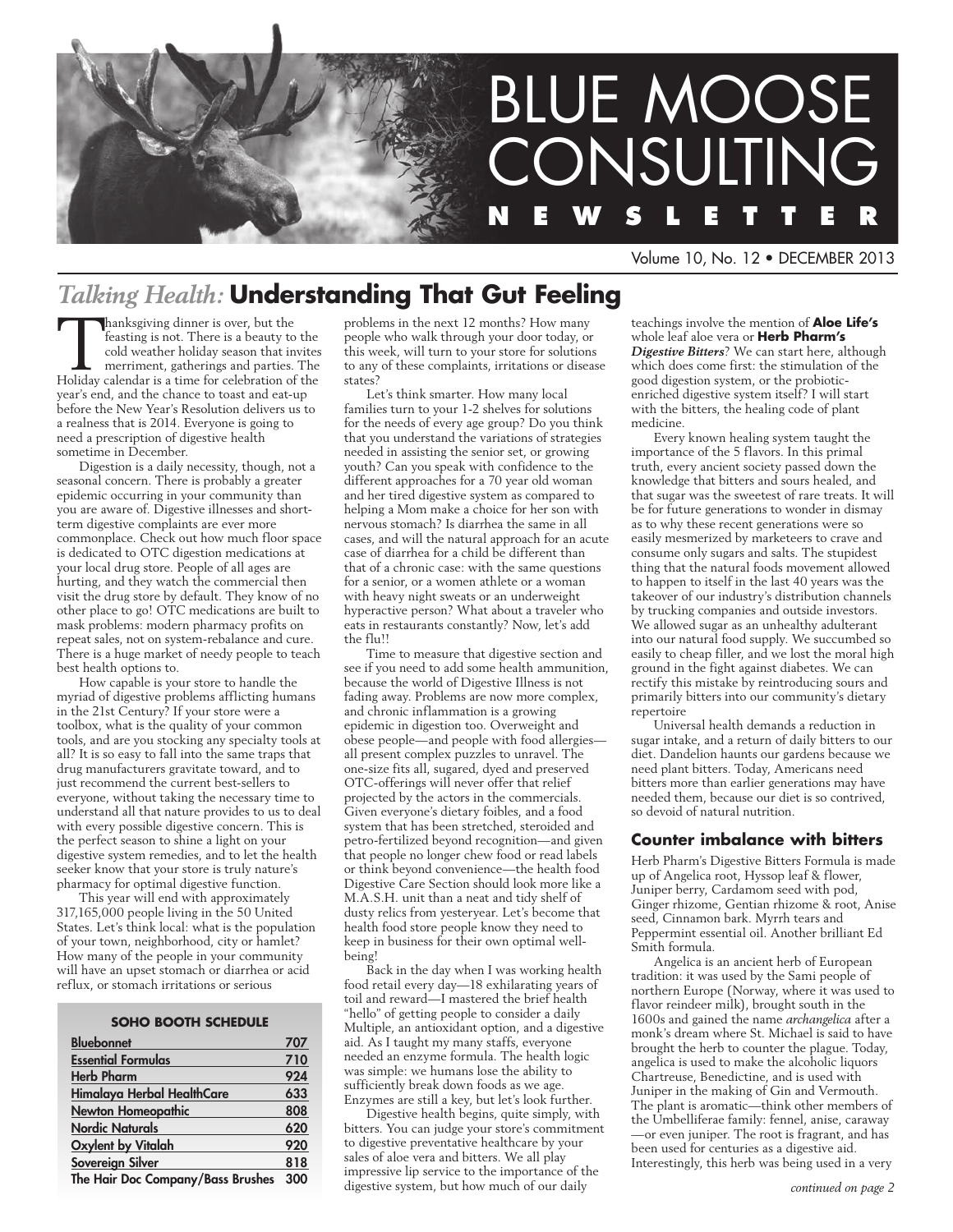

Volume 10, No. 12 • DECEMBER 2013

# *Talking Health:* **Understanding That Gut Feeling**

**Thanksgiving dinner is over, but the feasting is not. There is a beauty to the cold weather holiday season that invites merriment, gatherings and parties. The Holiday calendar is a time for celebration of the season of th** feasting is not. There is a beauty to the cold weather holiday season that invites Holiday calendar is a time for celebration of the year's end, and the chance to toast and eat-up before the New Year's Resolution delivers us to a realness that is 2014. Everyone is going to need a prescription of digestive health sometime in December.

Digestion is a daily necessity, though, not a seasonal concern. There is probably a greater epidemic occurring in your community than you are aware of. Digestive illnesses and shortterm digestive complaints are ever more commonplace. Check out how much floor space is dedicated to OTC digestion medications at your local drug store. People of all ages are hurting, and they watch the commercial then visit the drug store by default. They know of no other place to go! OTC medications are built to mask problems: modern pharmacy profits on repeat sales, not on system-rebalance and cure. There is a huge market of needy people to teach best health options to.

How capable is your store to handle the myriad of digestive problems afflicting humans in the 21st Century? If your store were a toolbox, what is the quality of your common tools, and are you stocking any specialty tools at all? It is so easy to fall into the same traps that drug manufacturers gravitate toward, and to just recommend the current best-sellers to everyone, without taking the necessary time to understand all that nature provides to us to deal with every possible digestive concern. This is the perfect season to shine a light on your digestive system remedies, and to let the health seeker know that your store is truly nature's pharmacy for optimal digestive function.

This year will end with approximately 317,165,000 people living in the 50 United States. Let's think local: what is the population of your town, neighborhood, city or hamlet? How many of the people in your community will have an upset stomach or diarrhea or acid reflux, or stomach irritations or serious

#### **soho BOOTH SCHEDULE**

| <b>Bluebonnet</b>                 | 707 |
|-----------------------------------|-----|
| <b>Essential Formulas</b>         | 710 |
| <b>Herb Pharm</b>                 | 924 |
| Himalaya Herbal HealthCare        | 633 |
| <b>Newton Homeopathic</b>         | 808 |
| <b>Nordic Naturals</b>            | 620 |
| <b>Oxylent by Vitalah</b>         | 920 |
| <b>Sovereign Silver</b>           | 818 |
| The Hair Doc Company/Bass Brushes | 300 |

The Hair Doc Company/Bass Brushes 300

problems in the next 12 months? How many people who walk through your door today, or this week, will turn to your store for solutions to any of these complaints, irritations or disease states?

Let's think smarter. How many local families turn to your 1-2 shelves for solutions for the needs of every age group? Do you think that you understand the variations of strategies needed in assisting the senior set, or growing youth? Can you speak with confidence to the different approaches for a 70 year old woman and her tired digestive system as compared to helping a Mom make a choice for her son with nervous stomach? Is diarrhea the same in all cases, and will the natural approach for an acute case of diarrhea for a child be different than that of a chronic case: with the same questions for a senior, or a women athlete or a woman with heavy night sweats or an underweight hyperactive person? What about a traveler who eats in restaurants constantly? Now, let's add the flu!!

Time to measure that digestive section and see if you need to add some health ammunition, because the world of Digestive Illness is not fading away. Problems are now more complex, and chronic inflammation is a growing epidemic in digestion too. Overweight and obese people—and people with food allergies all present complex puzzles to unravel. The one-size fits all, sugared, dyed and preserved OTC-offerings will never offer that relief projected by the actors in the commercials. Given everyone's dietary foibles, and a food system that has been stretched, steroided and petro-fertilized beyond recognition—and given that people no longer chew food or read labels or think beyond convenience—the health food Digestive Care Section should look more like a M.A.S.H. unit than a neat and tidy shelf of dusty relics from yesteryear. Let's become that health food store people know they need to keep in business for their own optimal wellbeing!

Back in the day when I was working health food retail every day—18 exhilarating years of toil and reward—I mastered the brief health "hello" of getting people to consider a daily Multiple, an antioxidant option, and a digestive aid. As I taught my many staffs, everyone needed an enzyme formula. The health logic was simple: we humans lose the ability to sufficiently break down foods as we age. Enzymes are still a key, but let's look further.

Digestive health begins, quite simply, with bitters. You can judge your store's commitment to digestive preventative healthcare by your sales of aloe vera and bitters. We all play impressive lip service to the importance of the digestive system, but how much of our daily

teachings involve the mention of **Aloe Life's**  whole leaf aloe vera or **Herb Pharm's**  *Digestive Bitters*? We can start here, although which does come first: the stimulation of the good digestion system, or the probioticenriched digestive system itself? I will start with the bitters, the healing code of plant medicine.

Every known healing system taught the importance of the 5 flavors. In this primal truth, every ancient society passed down the knowledge that bitters and sours healed, and that sugar was the sweetest of rare treats. It will be for future generations to wonder in dismay as to why these recent generations were so easily mesmerized by marketeers to crave and consume only sugars and salts. The stupidest thing that the natural foods movement allowed to happen to itself in the last 40 years was the takeover of our industry's distribution channels by trucking companies and outside investors. We allowed sugar as an unhealthy adulterant into our natural food supply. We succumbed so easily to cheap filler, and we lost the moral high ground in the fight against diabetes. We can rectify this mistake by reintroducing sours and primarily bitters into our community's dietary repertoire

Universal health demands a reduction in sugar intake, and a return of daily bitters to our diet. Dandelion haunts our gardens because we need plant bitters. Today, Americans need bitters more than earlier generations may have needed them, because our diet is so contrived, so devoid of natural nutrition.

### **Counter imbalance with bitters**

Herb Pharm's Digestive Bitters Formula is made up of Angelica root, Hyssop leaf & flower, Juniper berry, Cardamom seed with pod, Ginger rhizome, Gentian rhizome & root, Anise seed, Cinnamon bark. Myrrh tears and Peppermint essential oil. Another brilliant Ed Smith formula.

Angelica is an ancient herb of European tradition: it was used by the Sami people of northern Europe (Norway, where it was used to flavor reindeer milk), brought south in the 1600s and gained the name *archangelica* after a monk's dream where St. Michael is said to have brought the herb to counter the plague. Today, angelica is used to make the alcoholic liquors Chartreuse, Benedictine, and is used with Juniper in the making of Gin and Vermouth. The plant is aromatic—think other members of the Umbelliferae family: fennel, anise, caraway —or even juniper. The root is fragrant, and has been used for centuries as a digestive aid. Interestingly, this herb was being used in a very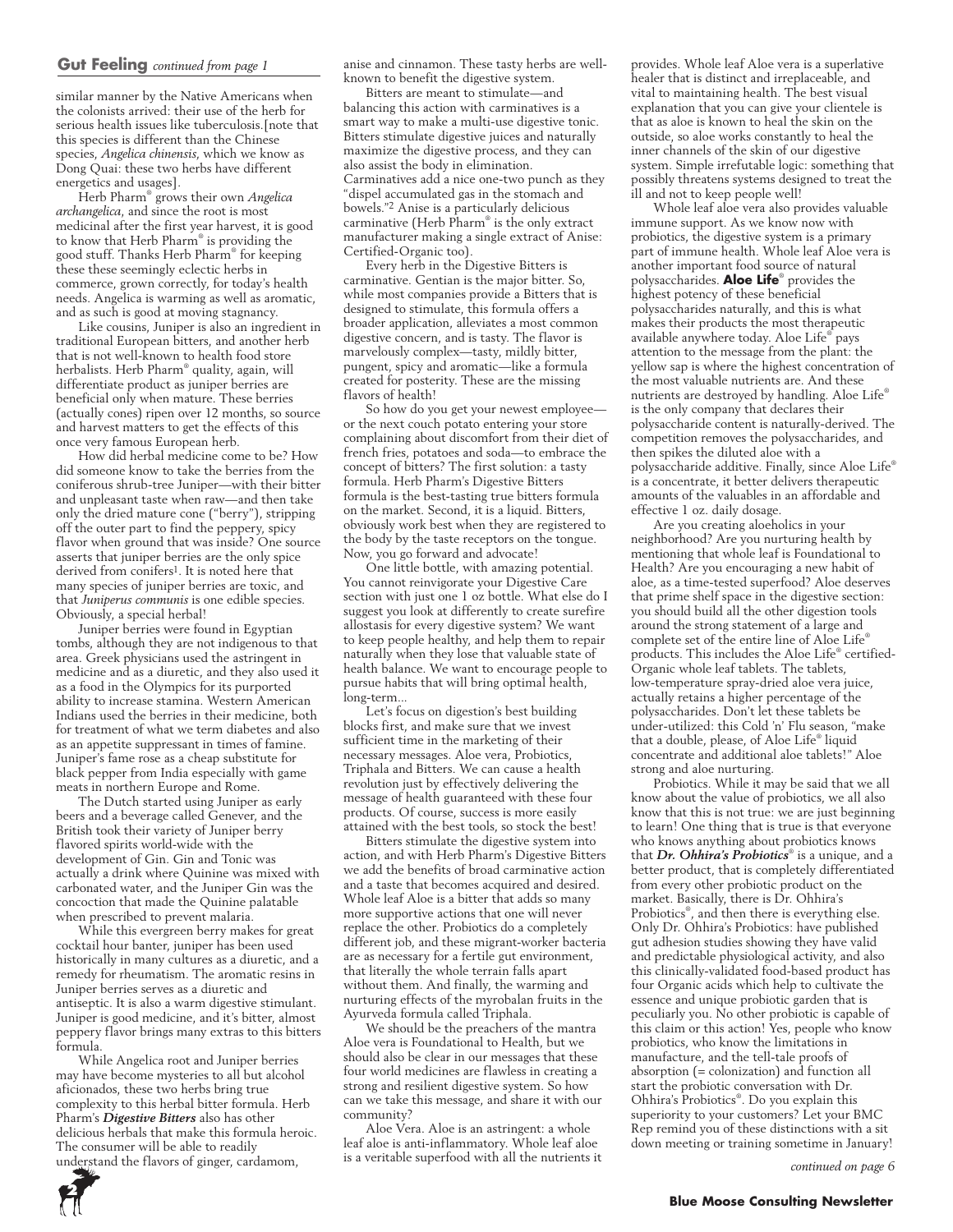### **Gut Feeling** *continued from page 1*

similar manner by the Native Americans when the colonists arrived: their use of the herb for serious health issues like tuberculosis.[note that this species is different than the Chinese species, *Angelica chinensis*, which we know as Dong Quai: these two herbs have different energetics and usages].

Herb Pharm® grows their own *Angelica archangelica*, and since the root is most medicinal after the first year harvest, it is good to know that Herb Pharm® is providing the good stuff. Thanks Herb Pharm® for keeping these these seemingly eclectic herbs in commerce, grown correctly, for today's health needs. Angelica is warming as well as aromatic, and as such is good at moving stagnancy.

Like cousins, Juniper is also an ingredient in traditional European bitters, and another herb that is not well-known to health food store herbalists. Herb Pharm® quality, again, will differentiate product as juniper berries are beneficial only when mature. These berries (actually cones) ripen over 12 months, so source and harvest matters to get the effects of this once very famous European herb.

How did herbal medicine come to be? How did someone know to take the berries from the coniferous shrub-tree Juniper—with their bitter and unpleasant taste when raw—and then take only the dried mature cone ("berry"), stripping off the outer part to find the peppery, spicy flavor when ground that was inside? One source asserts that juniper berries are the only spice derived from conifers1. It is noted here that many species of juniper berries are toxic, and that *Juniperus communis* is one edible species. Obviously, a special herbal!

Juniper berries were found in Egyptian tombs, although they are not indigenous to that area. Greek physicians used the astringent in medicine and as a diuretic, and they also used it as a food in the Olympics for its purported ability to increase stamina. Western American Indians used the berries in their medicine, both for treatment of what we term diabetes and also as an appetite suppressant in times of famine. Juniper's fame rose as a cheap substitute for black pepper from India especially with game meats in northern Europe and Rome.

The Dutch started using Juniper as early beers and a beverage called Genever, and the British took their variety of Juniper berry flavored spirits world-wide with the development of Gin. Gin and Tonic was actually a drink where Quinine was mixed with carbonated water, and the Juniper Gin was the concoction that made the Quinine palatable when prescribed to prevent malaria.

While this evergreen berry makes for great cocktail hour banter, juniper has been used historically in many cultures as a diuretic, and a remedy for rheumatism. The aromatic resins in Juniper berries serves as a diuretic and antiseptic. It is also a warm digestive stimulant. Juniper is good medicine, and it's bitter, almost peppery flavor brings many extras to this bitters formula.

While Angelica root and Juniper berries may have become mysteries to all but alcohol aficionados, these two herbs bring true complexity to this herbal bitter formula. Herb Pharm's *Digestive Bitters* also has other delicious herbals that make this formula heroic. The consumer will be able to readily understand the flavors of ginger, cardamom,

anise and cinnamon. These tasty herbs are wellknown to benefit the digestive system.

Bitters are meant to stimulate—and balancing this action with carminatives is a smart way to make a multi-use digestive tonic. Bitters stimulate digestive juices and naturally maximize the digestive process, and they can also assist the body in elimination. Carminatives add a nice one-two punch as they "dispel accumulated gas in the stomach and bowels."2 Anise is a particularly delicious carminative (Herb Pharm® is the only extract manufacturer making a single extract of Anise: Certified-Organic too).

Every herb in the Digestive Bitters is carminative. Gentian is the major bitter. So, while most companies provide a Bitters that is designed to stimulate, this formula offers a broader application, alleviates a most common digestive concern, and is tasty. The flavor is marvelously complex—tasty, mildly bitter, pungent, spicy and aromatic—like a formula created for posterity. These are the missing flavors of health!

So how do you get your newest employee or the next couch potato entering your store complaining about discomfort from their diet of french fries, potatoes and soda—to embrace the concept of bitters? The first solution: a tasty formula. Herb Pharm's Digestive Bitters formula is the best-tasting true bitters formula on the market. Second, it is a liquid. Bitters, obviously work best when they are registered to the body by the taste receptors on the tongue. Now, you go forward and advocate!

One little bottle, with amazing potential. You cannot reinvigorate your Digestive Care section with just one 1 oz bottle. What else do I suggest you look at differently to create surefire allostasis for every digestive system? We want to keep people healthy, and help them to repair naturally when they lose that valuable state of health balance. We want to encourage people to pursue habits that will bring optimal health, long-term...

Let's focus on digestion's best building blocks first, and make sure that we invest sufficient time in the marketing of their necessary messages. Aloe vera, Probiotics, Triphala and Bitters. We can cause a health revolution just by effectively delivering the message of health guaranteed with these four products. Of course, success is more easily attained with the best tools, so stock the best!

Bitters stimulate the digestive system into action, and with Herb Pharm's Digestive Bitters we add the benefits of broad carminative action and a taste that becomes acquired and desired. Whole leaf Aloe is a bitter that adds so many more supportive actions that one will never replace the other. Probiotics do a completely different job, and these migrant-worker bacteria are as necessary for a fertile gut environment, that literally the whole terrain falls apart without them. And finally, the warming and nurturing effects of the myrobalan fruits in the Ayurveda formula called Triphala.

We should be the preachers of the mantra Aloe vera is Foundational to Health, but we should also be clear in our messages that these four world medicines are flawless in creating a strong and resilient digestive system. So how can we take this message, and share it with our community?

Aloe Vera. Aloe is an astringent: a whole leaf aloe is anti-inflammatory. Whole leaf aloe is a veritable superfood with all the nutrients it provides. Whole leaf Aloe vera is a superlative healer that is distinct and irreplaceable, and vital to maintaining health. The best visual explanation that you can give your clientele is that as aloe is known to heal the skin on the outside, so aloe works constantly to heal the inner channels of the skin of our digestive system. Simple irrefutable logic: something that possibly threatens systems designed to treat the ill and not to keep people well!

Whole leaf aloe vera also provides valuable immune support. As we know now with probiotics, the digestive system is a primary part of immune health. Whole leaf Aloe vera is another important food source of natural polysaccharides. **Aloe Life**® provides the highest potency of these beneficial polysaccharides naturally, and this is what makes their products the most therapeutic available anywhere today. Aloe Life® pays attention to the message from the plant: the yellow sap is where the highest concentration of the most valuable nutrients are. And these nutrients are destroyed by handling. Aloe Life® is the only company that declares their polysaccharide content is naturally-derived. The competition removes the polysaccharides, and then spikes the diluted aloe with a polysaccharide additive. Finally, since Aloe Life® is a concentrate, it better delivers therapeutic amounts of the valuables in an affordable and effective 1 oz. daily dosage.

Are you creating aloeholics in your neighborhood? Are you nurturing health by mentioning that whole leaf is Foundational to Health? Are you encouraging a new habit of aloe, as a time-tested superfood? Aloe deserves that prime shelf space in the digestive section: you should build all the other digestion tools around the strong statement of a large and complete set of the entire line of Aloe Life® products. This includes the Aloe Life® certified-Organic whole leaf tablets. The tablets, low-temperature spray-dried aloe vera juice, actually retains a higher percentage of the polysaccharides. Don't let these tablets be under-utilized: this Cold 'n' Flu season, "make that a double, please, of Aloe Life® liquid concentrate and additional aloe tablets!" Aloe strong and aloe nurturing.

Probiotics. While it may be said that we all know about the value of probiotics, we all also know that this is not true: we are just beginning to learn! One thing that is true is that everyone who knows anything about probiotics knows that *Dr. Ohhira's Probiotics*® is a unique, and a better product, that is completely differentiated from every other probiotic product on the market. Basically, there is Dr. Ohhira's Probiotics® , and then there is everything else. Only Dr. Ohhira's Probiotics: have published gut adhesion studies showing they have valid and predictable physiological activity, and also this clinically-validated food-based product has four Organic acids which help to cultivate the essence and unique probiotic garden that is peculiarly you. No other probiotic is capable of this claim or this action! Yes, people who know probiotics, who know the limitations in manufacture, and the tell-tale proofs of absorption (= colonization) and function all start the probiotic conversation with Dr. Ohhira's Probiotics® . Do you explain this superiority to your customers? Let your BMC Rep remind you of these distinctions with a sit down meeting or training sometime in January!

*continued on page 6*

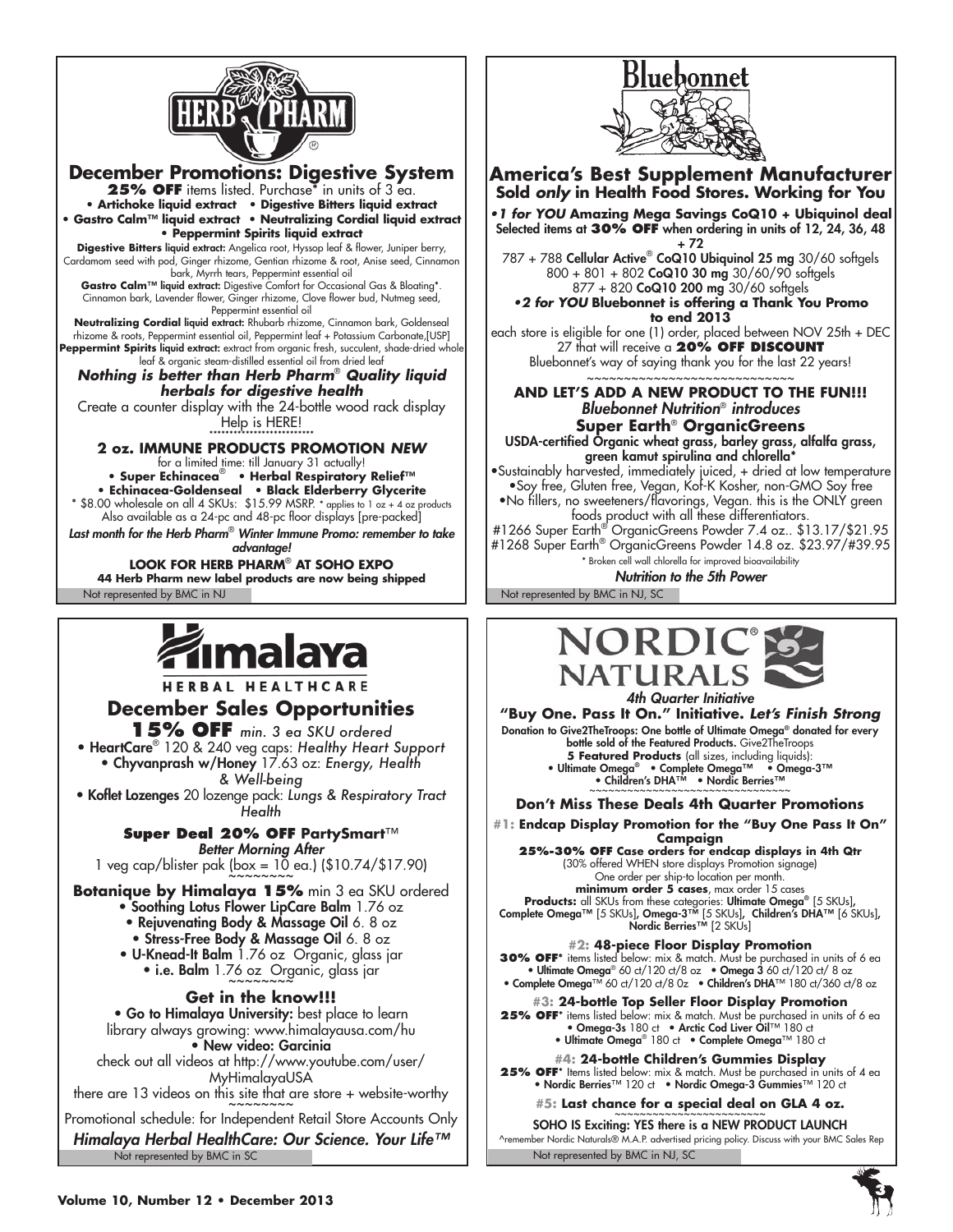

**December Promotions: Digestive System 25% OFF** items listed. Purchase\* in units of 3 ea. **• Artichoke liquid extract • Digestive Bitters liquid extract • Gastro Calm™ liquid extract • Neutralizing Cordial liquid extract • Peppermint Spirits liquid extract Digestive Bitters** liquid extract: Angelica root, Hyssop leaf & flower, Juniper berry, Cardamom seed with pod, Ginger rhizome, Gentian rhizome & root, Anise seed, Cinnamon bark, Myrrh tears, Peppermint essential oil Gastro Calm<sup>™</sup> liquid extract: Digestive Comfort for Occasional Gas & Bloating<sup>\*</sup>. Cinnamon bark, Lavender flower, Ginger rhizome, Clove flower bud, Nutmeg seed, Peppermint essential oil **Neutralizing Cordial** liquid extract: Rhubarb rhizome, Cinnamon bark, Goldenseal rhizome & roots, Peppermint essential oil, Peppermint leaf + Potassium Carbonate,[USP] Peppermint Spirits liquid extract: extract from organic fresh, succulent, shade-dried whole leaf & organic steam-distilled essential oil from dried leaf

*Nothing is better than Herb Pharm*®  *Quality liquid herbals for digestive health*

Create a counter display with the 24-bottle wood rack display Help is HERE!<br>**\*\*\*\*\*\*\*\*\*\*\*\*\*\*\*\*\*\*\*\*\*\*\*\*\*\***\*\*

# **2 oz. IMMUNE PRODUCTS PROMOTION** *NEW*

for a limited time: till January 31 actually! **• Super Echinacea**®  **• Herbal Respiratory Relief™**

**• Echinacea-Goldenseal • Black Elderberry Glycerite** \* \$8.00 wholesale on all 4 SKUs: \$15.99 MSRP. \* applies to 1 oz + 4 oz products Also available as a 24-pc and 48-pc floor displays [pre-packed]

*Last month for the Herb Pharm*®  *Winter Immune Promo: remember to take advantage!*

Not represented by BMC in NJ Not represented by BMC in NJ, SC **LOOK FOR HERB PHARM**®  **AT SOHO EXPO 44 Herb Pharm new label products are now being shipped**

# malaya

HERBAL HEALTHCARE

# **December Sales Opportunities**

**15% OFF** *min. 3 ea SKU ordered* • HeartCare® 120 & 240 veg caps: *Healthy Heart Support* • Chyvanprash w/Honey 17.63 oz: *Energy, Health & Well-being*

• Koflet Lozenges 20 lozenge pack: *Lungs & Respiratory Tract Health*

> **Super Deal 20% OFF PartySmart**™ *Better Morning After*

1 veg cap/blister pak (box =  $10$  ea.) (\$10.74/\$17.90)

**Botanique by Himalaya 15%** min 3 ea SKU ordered

- Soothing Lotus Flower LipCare Balm 1.76 oz
	- Rejuvenating Body & Massage Oil 6. 8 oz
	- Stress-Free Body & Massage Oil 6. 8 oz
- U-Knead-It Balm 1.76 oz Organic, glass jar • i.e. Balm 1.76 oz Organic, glass jar

**Get in the know!!!**

• Go to Himalaya University: best place to learn library always growing: www.himalayausa.com/hu • New video: Garcinia

check out all videos at http://www.youtube.com/user/ MyHimalayaUSA

there are 13 videos on this site that are store  $+$  website-worthy

Promotional schedule: for Independent Retail Store Accounts Only

Not represented by BMC in SC *Himalaya Herbal HealthCare: Our Science. Your Life™*



### **America's Best Supplement Manufacturer Sold** *only* **in Health Food Stores. Working for You**

**•1 for YOU Amazing Mega Savings CoQ10 + Ubiquinol deal** Selected items at **30% OFF** when ordering in units of 12, 24, 36, 48

+ 72 787 + 788 Cellular Active® CoQ10 Ubiquinol 25 mg 30/60 softgels 800 + 801 + 802 CoQ10 30 mg 30/60/90 softgels 877 + 820 CoQ10 200 mg 30/60 softgels **•2 for YOU Bluebonnet is offering a Thank You Promo** 

**to end 2013**

each store is eligible for one (1) order, placed between NOV 25th + DEC 27 that will receive a **20% OFF discount** Bluebonnet's way of saying thank you for the last 22 years!

#### ~~~~~~~~~~~~~~~~~~~~~~~~~ **AND LET'S ADD A NEW PRODUCT TO THE FUN!!!** *Bluebonnet Nutrition*® *introduces* **Super Earth**® **OrganicGreens**

USDA-certified Organic wheat grass, barley grass, alfalfa grass, green kamut spirulina and chlorella\*

•Sustainably harvested, immediately juiced, + dried at low temperature •Soy free, Gluten free, Vegan, Kof-K Kosher, non-GMO Soy free

•No fillers, no sweeteners/flavorings, Vegan. this is the ONLY green foods product with all these differentiators.

#1266 Super Earth® OrganicGreens Powder 7.4 oz.. \$13.17/\$21.95 #1268 Super Earth® OrganicGreens Powder 14.8 oz. \$23.97/#39.95 \* Broken cell wall chlorella for improved bioavailability

*Nutrition to the 5th Power*





**"Buy One. Pass It On." Initiative.** *Let's Finish Strong*

Donation to Give2TheTroops: One bottle of Ultimate Omega® donated for every bottle sold of the Featured Products. Give2TheTroops **5 Featured Products** (all sizes, including liquids): • Ultimate Omega® • Complete Omega™ • Omega-3™

• Children's DHA™ • Nordic Berries™ ~~~~~~~~~~~~~~~~~~~~~~~~~~~~~

**Don't Miss These Deals 4th Quarter Promotions**

**#1: Endcap Display Promotion for the "Buy One Pass It On"** 

**Campaign 25%-30% Off Case orders for endcap displays in 4th Qtr** (30% offered WHEN store displays Promotion signage) One order per ship-to location per month. **minimum order 5 cases**, max order 15 cases

**Products:** all SKUs from these categories: Ultimate Omega® [5 skus], Complete Omega™ [5 skus], Omega-3™ [5 skus], Children's DHA™ [6 skus], Nordic Berries™ [2 skus]

**30% OFF\*** items listed below: mix & match. Must be purchased in units of 6 ea<br>• Ultimate Omega® 60 ct/120 ct/8 oz • Omega 3 60 ct/120 ct/ 8 oz •

• Complete Omega™ 60 ct/120 ct/8 0z • Children's DHA™ 180 ct/360 ct/8 oz **#3: 24-bottle Top Seller Floor Display Promotion** 

**25% OFF**\* items listed below: mix & match. Must be purchased in units of 6 ea • Omega-3s 180 ct • Arctic Cod Liver Oil™ 180 ct • Ultimate Omega® 180 ct • Complete Omega™ 180 ct

**#4: 24-bottle Children's Gummies Display 25% OFF**\* Items listed below: mix & match. Must be purchased in units of 4 ea • Nordic Berries™ 120 ct • Nordic Omega-3 Gummies™ 120 ct

**#5: Last chance for a special deal on GLA 4 oz.** ~~~~~~~~~~~~~~~~~~~~~~~~

Not represented by BMC in NJ, SC SOHO IS Exciting: YES there is a NEW PRODUCT LAUNCH<br>
^remember Nordic Naturals® M.A.P. advertised pricing policy. Discuss with your BMC Sales Rep

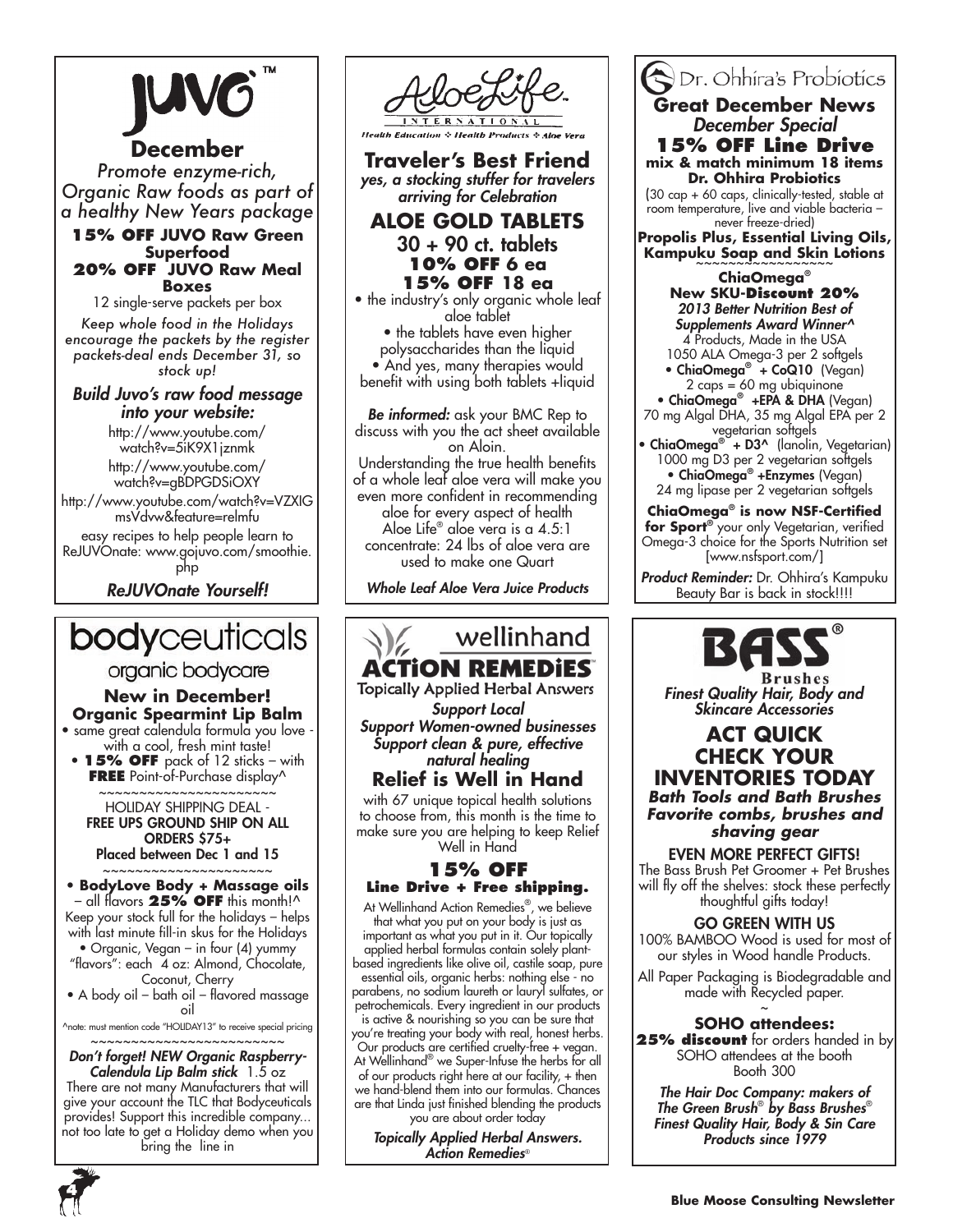### **December**

*Promote enzyme-rich, Organic Raw foods as part of a healthy New Years package*

### **15% OFF JUVO Raw Green Superfood 20% OFF JUVO Raw Meal Boxes**

12 single-serve packets per box

*Keep whole food in the Holidays encourage the packets by the register packets-deal ends December 31, so stock up!*

### *Build Juvo's raw food message into your website:*

http://www.youtube.com/ watch?v=5iK9X1jznmk

http://www.youtube.com/ watch?v=gBDPGDSiOXY

http://www.youtube.com/watch?v=VZXIG msVdvw&feature=relmfu easy recipes to help people learn to ReJUVOnate: www.gojuvo.com/smoothie. php

*ReJUVOnate Yourself!*

# **body**ceuticals

### organic bodycare

**New in December! Organic Spearmint Lip Balm**

• same great calendula formula you love with a cool, fresh mint taste!

• **15% OFF** pack of 12 sticks – with **FREE** Point-of-Purchase display^ ~~~~~~~~~~~~~~~~~~~~

HOLIDAY SHIPPING DEAL - FREE UPS GROUND SHIP ON ALL ORDERS \$75+ Placed between Dec 1 and 15

~~~~~~~~~~~~~~~~~~~ • **BodyLove Body + Massage oils**  – all flavors **25% OFF** this month!^ Keep your stock full for the holidays – helps

with last minute fill-in skus for the Holidays • Organic, Vegan – in four (4) yummy "flavors": each 4 oz: Almond, Chocolate,

Coconut, Cherry • A body oil – bath oil – flavored massage oil

^note: must mention code "HOLIDAY13" to receive special pricing

~~~~~~~~~~~~~~~~~~~~~~ *Don't forget! NEW Organic Raspberry-*

*Calendula Lip Balm stick* 1.5 oz There are not many Manufacturers that will

give your account the TLC that Bodyceuticals provides! Support this incredible company... not too late to get a Holiday demo when you bring the line in



**Traveler's Best Friend** *yes, a stocking stuffer for travelers arriving for Celebration*

**ALOE GOLD TABLETS** 30 + 90 ct. tablets **10% OFF 6 ea 15% OFF 18 ea**

• the industry's only organic whole leaf aloe tablet • the tablets have even higher polysaccharides than the liquid • And yes, many therapies would benefit with using both tablets +liquid

*Be informed:* ask your BMC Rep to discuss with you the act sheet available on Aloin. Understanding the true health benefits of a whole leaf aloe vera will make you even more confident in recommending aloe for every aspect of health Aloe Life® aloe vera is a 4.5:1 concentrate: 24 lbs of aloe vera are used to make one Quart

*Whole Leaf Aloe Vera Juice Products*

# wellinhand **ACTION REMEDI**

**Topically Applied Herbal Answers** *Support Local Support Women-owned businesses*

*Support clean & pure, effective natural healing*

# **Relief is Well in Hand**

with 67 unique topical health solutions to choose from, this month is the time to make sure you are helping to keep Relief Well in Hand

### **15% OFF Line Drive + Free shipping.**

At Wellinhand Action Remedies® , we believe that what you put on your body is just as important as what you put in it. Our topically applied herbal formulas contain solely plantbased ingredients like olive oil, castile soap, pure essential oils, organic herbs: nothing else - no parabens, no sodium laureth or lauryl sulfates, or petrochemicals. Every ingredient in our products is active & nourishing so you can be sure that you're treating your body with real, honest herbs. Our products are certified cruelty-free + vegan. At Wellinhand® we Super-Infuse the herbs for all of our products right here at our facility, + then we hand-blend them into our formulas. Chances are that Linda just finished blending the products you are about order today

*Topically Applied Herbal Answers. Action Remedies*®

## Dr. Ohhira's Probiotics **Great December News**  *December Special* **15% OFF Line Drive**

**mix & match minimum 18 items Dr. Ohhira Probiotics** 

(30 cap + 60 caps, clinically-tested, stable at room temperature, live and viable bacteria – never freeze-dried)

**Propolis Plus, Essential Living Oils,**  Kampuku Soap and Skin Lotions

### **ChiaOmega® New SKU-Discount 20%** *2013 Better Nutrition Best of Supplements Award Winner^* 4 Products, Made in the USA

1050 ALA Omega-3 per 2 softgels • ChiaOmega**®** + CoQ10 (Vegan) 2 caps = 60 mg ubiquinone

• ChiaOmega**®** +EPA & DHA (Vegan) 70 mg Algal DHA, 35 mg Algal EPA per 2

vegetarian softgels • ChiaOmega<sup>®</sup> + D3^ (lanolin, Vegetarian) 1000 mg D3 per 2 vegetarian softgels • ChiaOmega**®** +Enzymes (Vegan) 24 mg lipase per 2 vegetarian softgels

**ChiaOmega® is now NSF-Certified for Sport®** your only Vegetarian, verified Omega-3 choice for the Sports Nutrition set [www.nsfsport.com/]

*Product Reminder:* Dr. Ohhira's Kampuku Beauty Bar is back in stock!!!!



*Finest Quality Hair, Body and Skincare Accessories*

### **ACT QUICK CHECK YOUR INVENTORIES TODAY** *Bath Tools and Bath Brushes Favorite combs, brushes and shaving gear*

EVEN MORE PERFECT GIFTS! The Bass Brush Pet Groomer + Pet Brushes will fly off the shelves: stock these perfectly thoughtful gifts today!

GO GREEN WITH US 100% BAMBOO Wood is used for most of

our styles in Wood handle Products. All Paper Packaging is Biodegradable and made with Recycled paper.

~ **SOHO attendees: 25% discount** for orders handed in by SOHO attendees at the booth Booth 300

*The Hair Doc Company: makers of The Green Brush*®  *by Bass Brushes*® *Finest Quality Hair, Body & Sin Care Products since 1979*

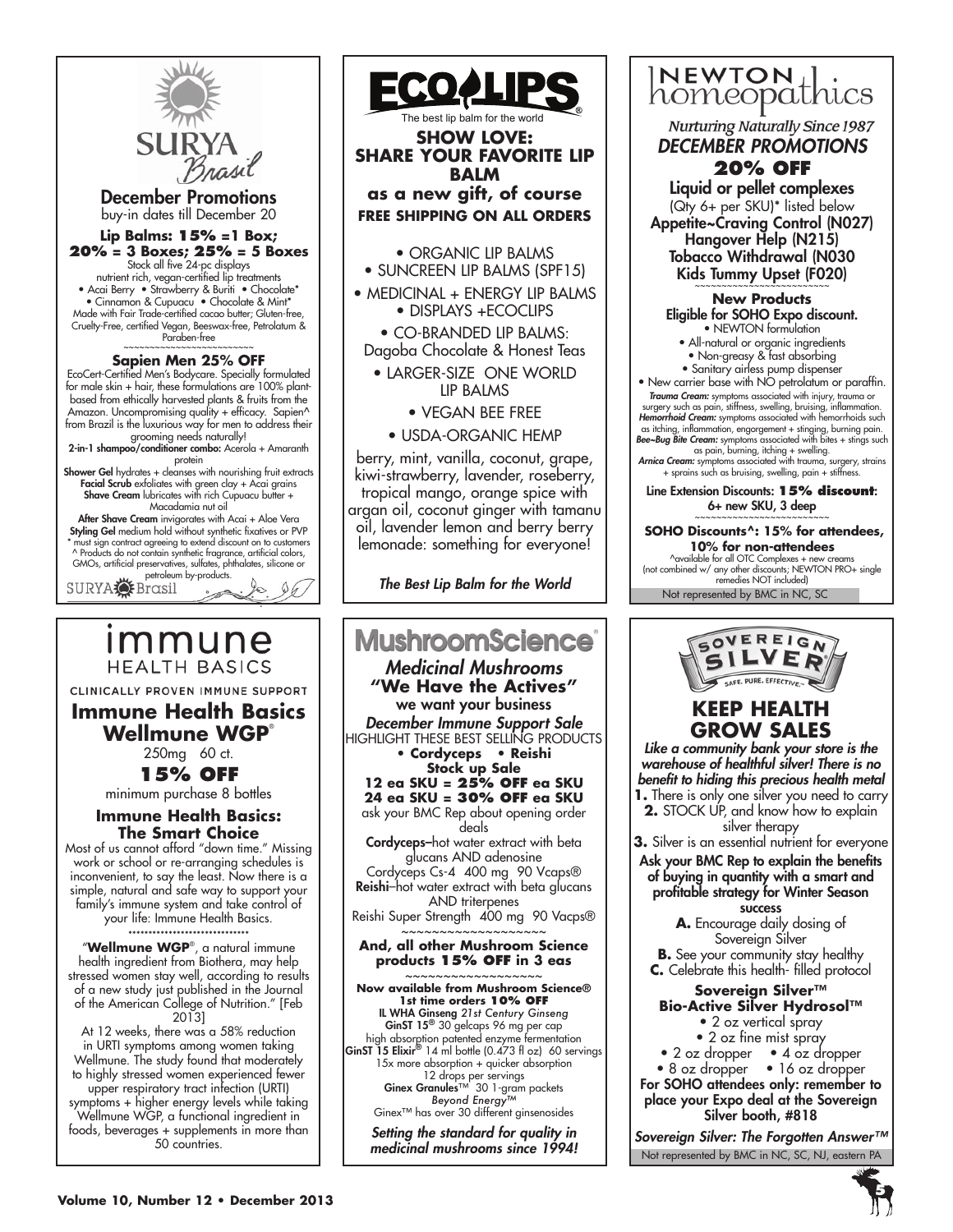

December Promotions buy-in dates till December 20

### **Lip Balms: 15% =1 Box; 20% = 3 Boxes; 25% = 5 Boxes**

Stock all five 24-pc displays nutrient rich, vegan-certified lip treatments • Acai Berry • Strawberry & Buriti • Chocolate\* • Cinnamon & Cupuacu • Chocolate & Mint\* Made with Fair Trade-certified cacao butter; Gluten-free, Cruelty-Free, certified Vegan, Beeswax-free, Petrolatum & Paraben-free

### **Sapien Men 25% OFF**

EcoCert-Certified Men's Bodycare. Specially formulated for male skin + hair, these formulations are 100% plantbased from ethically harvested plants & fruits from the Amazon. Uncompromising quality + efficacy. Sapien^ from Brazil is the luxurious way for men to address their

grooming needs naturally!<br>2-in-1 shampoo/conditioner combo: Acerola + Amaranth

protein<br>**Shower Gel** hydrates + cleanses with nourishing fruit extracts Facial Scrub exfoliates with green clay + Acai grains Shave Cream lubricates with rich Cupuacu butter + Macadamia nut oil

**After Shave Cream** invigorates with Acai + Aloe Vera Styling Gel medium hold without synthetic fixatives or PVP must sign contract agreeing to extend discount on to customers ^ Products do not contain synthetic fragrance, artificial colors, GMOs, artificial preservatives, sulfates, phthalates, silicone or

petroleum by-products.<br>SURYA Brasil

# ımmune **HEALTH BASICS**

CLINICALLY PROVEN IMMUNE SUPPORT

### **Immune Health Basics Wellmune WGP**®

250mg 60 ct. **15% OFF**

minimum purchase 8 bottles

### **Immune Health Basics: The Smart Choice**

Most of us cannot afford "down time." Missing work or school or re-arranging schedules is inconvenient, to say the least. Now there is a simple, natural and safe way to support your family's immune system and take control of your life: Immune Health Basics.

\*\*\*\*\*\*\*\*\*\*\*\*\*\*\*\*\*\*\*\*\*\*\*\*\*\*\*\*\*\*

"**Wellmune WGP**® , a natural immune health ingredient from Biothera, may help stressed women stay well, according to results of a new study just published in the Journal of the American College of Nutrition." [Feb 2013]

At 12 weeks, there was a 58% reduction in URTI symptoms among women taking Wellmune. The study found that moderately to highly stressed women experienced fewer upper respiratory tract infection (URTI) symptoms + higher energy levels while taking Wellmune WGP, a functional ingredient in foods, beverages + supplements in more than 50 countries.



The best lip balm for the world **SHOW LOVE: SHARE YOUR FAVORITE LIP BALM as a new gift, of course FREE SHIPPING ON ALL ORDERS**

- ORGANIC LIP BALMS
- SUNCREEN LIP BALMS (SPF15) • MEDICINAL + ENERGY LIP BALMS • DISPLAYS +ECOCLIPS

• CO-BRANDED LIP BALMS: Dagoba Chocolate & Honest Teas

• LARGER-SIZE ONE WORLD LIP BALMS

• VEGAN BEE FREE

• USDA-ORGANIC HEMP

berry, mint, vanilla, coconut, grape, kiwi-strawberry, lavender, roseberry, tropical mango, orange spice with argan oil, coconut ginger with tamanu oil, lavender lemon and berry berry lemonade: something for everyone!

*The Best Lip Balm for the World*

### **MushroomScience** *Medicinal Mushrooms* **"We Have the Actives"** we want your business *December Immune Support Sale* HIGHLIGHT THESE BEST SELLING PRODUCTS **• Cordyceps • Reishi Stock up Sale 12 ea SKU = 25% OFF ea SKU 24 ea SKU = 30% OFF ea SKU** ask your BMC Rep about opening order deals Cordyceps–hot water extract with beta glucans AND adenosine Cordyceps Cs-4 400 mg 90 Vcaps® Reishi–hot water extract with beta glucans AND triterpenes Reishi Super Strength 400 mg 90 Vacps® ~~~~~~~~~~~~~~~~~~~ **And, all other Mushroom Science products 15% OFF in 3 eas** ~~~~~~~~~~~~~~~~~~ **Now available from Mushroom Science® 1st time orders 10% OFF** IL WHA Ginseng *21st Century Ginseng* GinST 15<sup>®</sup> 30 gelcaps 96 mg per cap high absorption patented enzyme fermentation<br>GinST 15 Elixir® 14 ml bottle (0.473 fl oz) 60 servings 15x more absorption + quicker absorption 12 drops per servings Ginex Granules<sup>™</sup> 30 1-gram packets *Beyond Energy™* Ginex™ has over 30 different ginsenosides

*Setting the standard for quality in medicinal mushrooms since 1994!*

# NEWTON<sub>1</sub> homeopathics

**Nurturing Naturally Since 1987** *DECEMBER PROMOTIONS*

# **20% OFF**

Liquid or pellet complexes (Qty 6+ per SKU)\* listed below Appetite~Craving Control (N027) Hangover Help (N215) Tobacco Withdrawal (N030 Kids Tummy Upset (F020)

**New Products**  Eligible for SOHO Expo discount. • NEWTON formulation

- All-natural or organic ingredients
- Non-greasy & fast absorbing
- Sanitary airless pump dispenser

• New carrier base with NO petrolatum or paraffin. *Trauma Cream:* symptoms associated with injury, trauma or

surgery such as pain, stiffness, swelling, bruising, inflammation. *Hemorrhoid Cream:* symptoms associated with hemorrhoids such as itching, inflammation, engorgement + stinging, burning pain. *Bee~Bug Bite Cream:* symptoms associated with bites + stings such

as pain, burning, itching + swelling. *Arnica Cream:* symptoms associated with trauma, surgery, strains

+ sprains such as bruising, swelling, pain + stiffness. Line Extension Discounts: **15% discount**:

 $6+$  new SKU,  $3$  deep

**SOHO Discounts^: 15% for attendees, 10% for non-attendees** ^available for all OTC Complexes + new creams (not combined w/ any other discounts; NEWTON PRO+ single remedies NOT included)

Not represented by BMC in NC, SC



### **KEEP HEALTH GROW SALES**

*Like a community bank your store is the warehouse of healthful silver! There is no benefit to hiding this precious health metal*  **1.** There is only one silver you need to carry **2.** STOCK UP, and know how to explain silver therapy

**3.** Silver is an essential nutrient for everyone Ask your BMC Rep to explain the benefits

of buying in quantity with a smart and profitable strategy for Winter Season success

**A.** Encourage daily dosing of Sovereign Silver

**B.** See your community stay healthy **C.** Celebrate this health- filled protocol

#### **Sovereign Silver™ Bio-Active Silver Hydrosol™** • 2 oz vertical spray

- 2 oz fine mist spray
- 
- 2 oz dropper 4 oz dropper • 8 oz dropper • 16 oz dropper

For SOHO attendees only: remember to place your Expo deal at the Sovereign Silver booth, #818

Not represented by BMC in NC, SC, NJ, eastern PA *Sovereign Silver: The Forgotten Answer™*

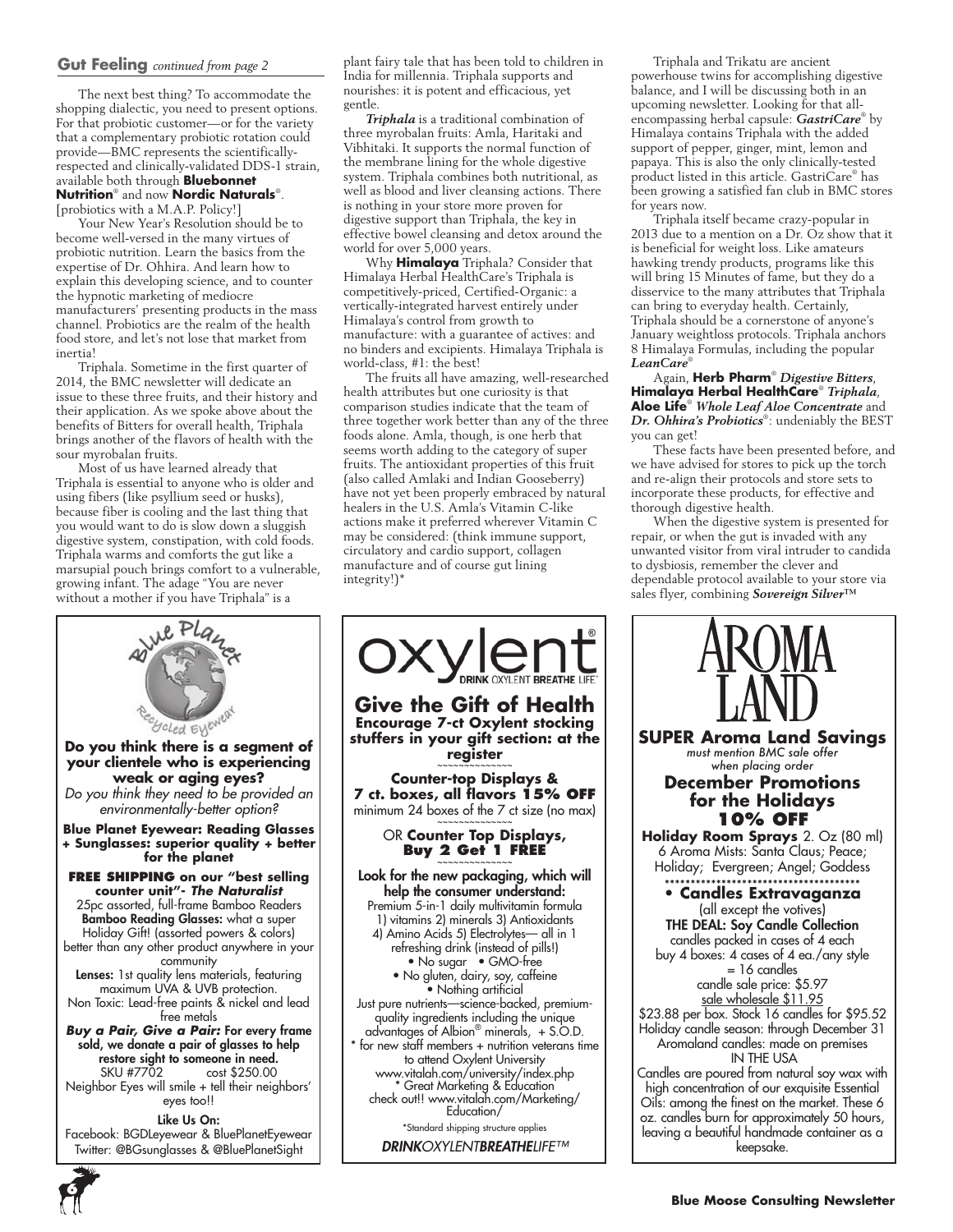### **Gut Feeling** *continued from page 2*

The next best thing? To accommodate the shopping dialectic, you need to present options. For that probiotic customer—or for the variety that a complementary probiotic rotation could provide—BMC represents the scientificallyrespected and clinically-validated DDS-1 strain, available both through **Bluebonnet Nutrition**® and now **Nordic Naturals**® . [probiotics with a M.A.P. Policy!]

Your New Year's Resolution should be to become well-versed in the many virtues of probiotic nutrition. Learn the basics from the expertise of Dr. Ohhira. And learn how to explain this developing science, and to counter the hypnotic marketing of mediocre manufacturers' presenting products in the mass channel. Probiotics are the realm of the health food store, and let's not lose that market from inertia!

Triphala. Sometime in the first quarter of 2014, the BMC newsletter will dedicate an issue to these three fruits, and their history and their application. As we spoke above about the benefits of Bitters for overall health, Triphala brings another of the flavors of health with the sour myrobalan fruits.

Most of us have learned already that Triphala is essential to anyone who is older and using fibers (like psyllium seed or husks), because fiber is cooling and the last thing that you would want to do is slow down a sluggish digestive system, constipation, with cold foods. Triphala warms and comforts the gut like a marsupial pouch brings comfort to a vulnerable, growing infant. The adage "You are never without a mother if you have Triphala" is a

**for the planet**

Goled Eyened

community

free metals

eyes too!! Like Us On:

Twitter: @BGsunglasses & @BluePlanetSight

plant fairy tale that has been told to children in India for millennia. Triphala supports and nourishes: it is potent and efficacious, yet gentle.

*Triphala* is a traditional combination of three myrobalan fruits: Amla, Haritaki and Vibhitaki. It supports the normal function of the membrane lining for the whole digestive system. Triphala combines both nutritional, as well as blood and liver cleansing actions. There is nothing in your store more proven for digestive support than Triphala, the key in effective bowel cleansing and detox around the world for over 5,000 years.

Why **Himalaya** Triphala? Consider that Himalaya Herbal HealthCare's Triphala is competitively-priced, Certified-Organic: a vertically-integrated harvest entirely under Himalaya's control from growth to manufacture: with a guarantee of actives: and no binders and excipients. Himalaya Triphala is world-class, #1: the best!

The fruits all have amazing, well-researched health attributes but one curiosity is that comparison studies indicate that the team of three together work better than any of the three foods alone. Amla, though, is one herb that seems worth adding to the category of super fruits. The antioxidant properties of this fruit (also called Amlaki and Indian Gooseberry) have not yet been properly embraced by natural healers in the U.S. Amla's Vitamin C-like actions make it preferred wherever Vitamin C may be considered: (think immune support, circulatory and cardio support, collagen manufacture and of course gut lining integrity!)\*



*DRINKOXYLENTBREATHELIFE™*

Triphala and Trikatu are ancient powerhouse twins for accomplishing digestive balance, and I will be discussing both in an upcoming newsletter. Looking for that allencompassing herbal capsule: *GastriCare*® by Himalaya contains Triphala with the added support of pepper, ginger, mint, lemon and papaya. This is also the only clinically-tested product listed in this article. GastriCare® has been growing a satisfied fan club in BMC stores for years now.

Triphala itself became crazy-popular in 2013 due to a mention on a Dr. Oz show that it is beneficial for weight loss. Like amateurs hawking trendy products, programs like this will bring 15 Minutes of fame, but they do a disservice to the many attributes that Triphala can bring to everyday health. Certainly, Triphala should be a cornerstone of anyone's January weightloss protocols. Triphala anchors 8 Himalaya Formulas, including the popular *LeanCare*®

Again, **Herb Pharm**® *Digestive Bitters*, **Himalaya Herbal HealthCare**® *Triphala*, **Aloe Life**® *Whole Leaf Aloe Concentrate* and *Dr. Ohhira's Probiotics*® : undeniably the BEST you can get!

These facts have been presented before, and we have advised for stores to pick up the torch and re-align their protocols and store sets to incorporate these products, for effective and thorough digestive health.

When the digestive system is presented for repair, or when the gut is invaded with any unwanted visitor from viral intruder to candida to dysbiosis, remember the clever and dependable protocol available to your store via sales flyer, combining *Sovereign Silver™* 



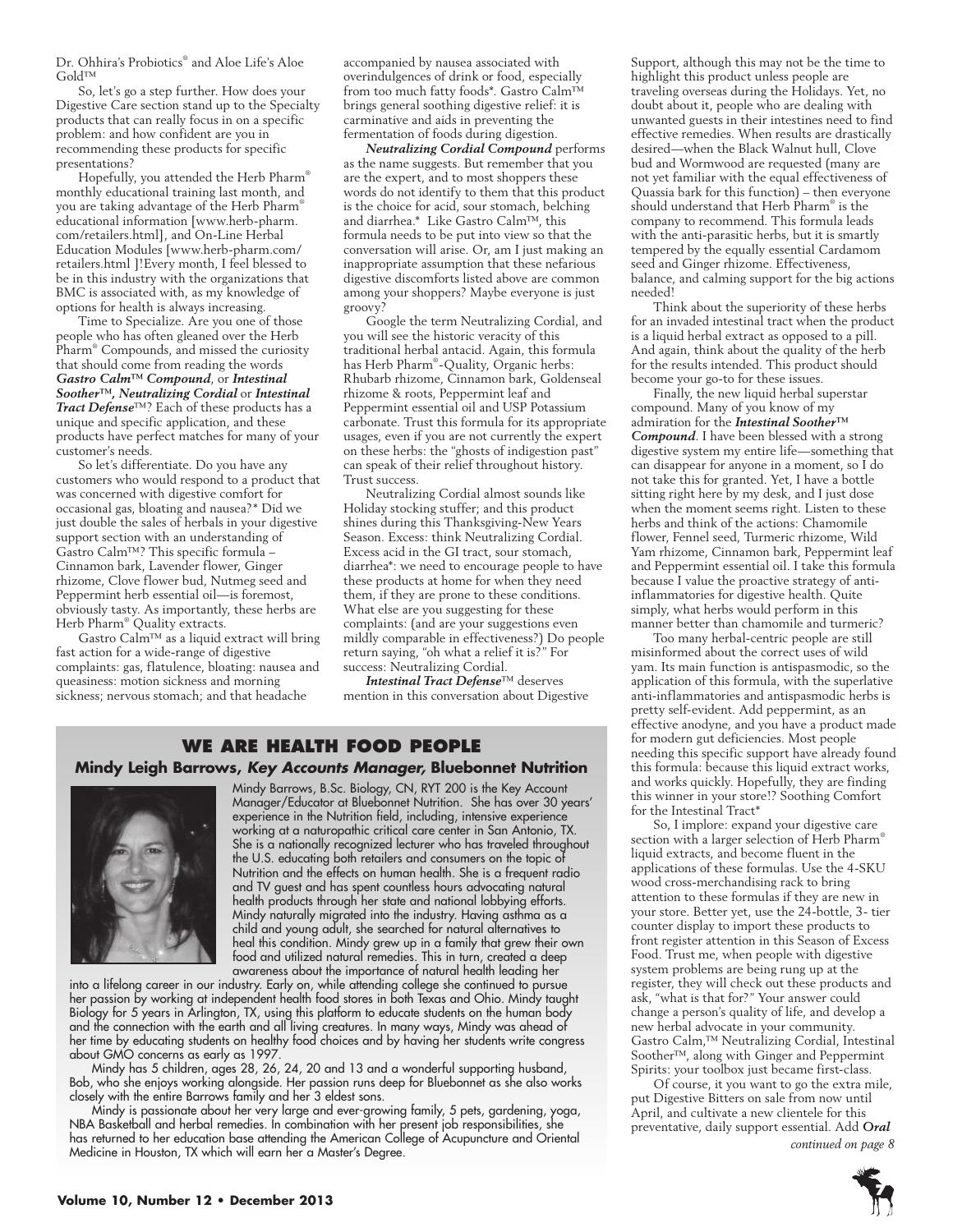Dr. Ohhira's Probiotics® and Aloe Life's Aloe Gold™

So, let's go a step further. How does your Digestive Care section stand up to the Specialty products that can really focus in on a specific problem: and how confident are you in recommending these products for specific presentations?

Hopefully, you attended the Herb Pharm® monthly educational training last month, and you are taking advantage of the Herb Pharm® educational information [www.herb-pharm. com/retailers.html], and On-Line Herbal Education Modules [www.herb-pharm.com/ retailers.html ]!Every month, I feel blessed to be in this industry with the organizations that BMC is associated with, as my knowledge of options for health is always increasing.

Time to Specialize. Are you one of those people who has often gleaned over the Herb Pharm® Compounds, and missed the curiosity that should come from reading the words *Gastro Calm™ Compound*, or *Intestinal Soother™, Neutralizing Cordial* or *Intestinal Tract Defense*™? Each of these products has a unique and specific application, and these products have perfect matches for many of your customer's needs.

So let's differentiate. Do you have any customers who would respond to a product that was concerned with digestive comfort for occasional gas, bloating and nausea?\* Did we just double the sales of herbals in your digestive support section with an understanding of Gastro Calm™? This specific formula – Cinnamon bark, Lavender flower, Ginger rhizome, Clove flower bud, Nutmeg seed and Peppermint herb essential oil—is foremost, obviously tasty. As importantly, these herbs are Herb Pharm® Quality extracts.

Gastro Calm™ as a liquid extract will bring fast action for a wide-range of digestive complaints: gas, flatulence, bloating: nausea and queasiness: motion sickness and morning sickness; nervous stomach; and that headache

accompanied by nausea associated with overindulgences of drink or food, especially from too much fatty foods\*. Gastro Calm™ brings general soothing digestive relief: it is carminative and aids in preventing the fermentation of foods during digestion.

*Neutralizing Cordial Compound* performs as the name suggests. But remember that you are the expert, and to most shoppers these words do not identify to them that this product is the choice for acid, sour stomach, belching and diarrhea.\* Like Gastro Calm™, this formula needs to be put into view so that the conversation will arise. Or, am I just making an inappropriate assumption that these nefarious digestive discomforts listed above are common among your shoppers? Maybe everyone is just groovy?

Google the term Neutralizing Cordial, and you will see the historic veracity of this traditional herbal antacid. Again, this formula has Herb Pharm® -Quality, Organic herbs: Rhubarb rhizome, Cinnamon bark, Goldenseal rhizome & roots, Peppermint leaf and Peppermint essential oil and USP Potassium carbonate. Trust this formula for its appropriate usages, even if you are not currently the expert on these herbs: the "ghosts of indigestion past" can speak of their relief throughout history. Trust success.

Neutralizing Cordial almost sounds like Holiday stocking stuffer; and this product shines during this Thanksgiving-New Years Season. Excess: think Neutralizing Cordial. Excess acid in the GI tract, sour stomach, diarrhea\*: we need to encourage people to have these products at home for when they need them, if they are prone to these conditions. What else are you suggesting for these complaints: (and are your suggestions even mildly comparable in effectiveness?) Do people return saying, "oh what a relief it is?" For success: Neutralizing Cordial.

*Intestinal Tract Defense*™ deserves mention in this conversation about Digestive

### **We are health food people Mindy Leigh Barrows,** *Key Accounts Manager,* **Bluebonnet Nutrition**



Mindy Barrows, B.Sc. Biology, CN, RYT 200 is the Key Account Manager/Educator at Bluebonnet Nutrition. She has over 30 years' experience in the Nutrition field, including, intensive experience working at a naturopathic critical care center in San Antonio, TX. She is a nationally recognized lecturer who has traveled throughout the U.S. educating both retailers and consumers on the topic of Nutrition and the effects on human health. She is a frequent radio and TV guest and has spent countless hours advocating natural health products through her state and national lobbying efforts. Mindy naturally migrated into the industry. Having asthma as a child and young adult, she searched for natural alternatives to heal this condition. Mindy grew up in a family that grew their own food and utilized natural remedies. This in turn, created a deep awareness about the importance of natural health leading her

into a lifelong career in our industry. Early on, while attending college she continued to pursue her passion by working at independent health food stores in both Texas and Ohio. Mindy taught Biology for 5 years in Arlington, TX, using this platform to educate students on the human body and the connection with the earth and all living creatures. In many ways, Mindy was ahead of her time by educating students on healthy food choices and by having her students write congress about GMO concerns as early as 1997.

Mindy has 5 children, ages 28, 26, 24, 20 and 13 and a wonderful supporting husband, Bob, who she enjoys working alongside. Her passion runs deep for Bluebonnet as she also works closely with the entire Barrows family and her 3 eldest sons.

Mindy is passionate about her very large and ever-growing family, 5 pets, gardening, yoga, NBA Basketball and herbal remedies. In combination with her present job responsibilities, she has returned to her education base attending the American College of Acupuncture and Oriental Medicine in Houston, TX which will earn her a Master's Degree.

Support, although this may not be the time to highlight this product unless people are traveling overseas during the Holidays. Yet, no doubt about it, people who are dealing with unwanted guests in their intestines need to find effective remedies. When results are drastically desired—when the Black Walnut hull, Clove bud and Wormwood are requested (many are not yet familiar with the equal effectiveness of Quassia bark for this function) – then everyone should understand that Herb Pharm® is the company to recommend. This formula leads with the anti-parasitic herbs, but it is smartly tempered by the equally essential Cardamom seed and Ginger rhizome. Effectiveness, balance, and calming support for the big actions needed!

Think about the superiority of these herbs for an invaded intestinal tract when the product is a liquid herbal extract as opposed to a pill. And again, think about the quality of the herb for the results intended. This product should become your go-to for these issues.

Finally, the new liquid herbal superstar compound. Many of you know of my admiration for the *Intestinal Soother™ Compound*. I have been blessed with a strong digestive system my entire life—something that can disappear for anyone in a moment, so I do not take this for granted. Yet, I have a bottle sitting right here by my desk, and I just dose when the moment seems right. Listen to these herbs and think of the actions: Chamomile flower, Fennel seed, Turmeric rhizome, Wild Yam rhizome, Cinnamon bark, Peppermint leaf and Peppermint essential oil. I take this formula because I value the proactive strategy of antiinflammatories for digestive health. Quite simply, what herbs would perform in this manner better than chamomile and turmeric?

Too many herbal-centric people are still misinformed about the correct uses of wild yam. Its main function is antispasmodic, so the application of this formula, with the superlative anti-inflammatories and antispasmodic herbs is pretty self-evident. Add peppermint, as an effective anodyne, and you have a product made for modern gut deficiencies. Most people needing this specific support have already found this formula: because this liquid extract works, and works quickly. Hopefully, they are finding this winner in your store!? Soothing Comfort for the Intestinal Tract\*

So, I implore: expand your digestive care section with a larger selection of Herb Pharm® liquid extracts, and become fluent in the applications of these formulas. Use the 4-SKU wood cross-merchandising rack to bring attention to these formulas if they are new in your store. Better yet, use the 24-bottle, 3- tier counter display to import these products to front register attention in this Season of Excess Food. Trust me, when people with digestive system problems are being rung up at the register, they will check out these products and ask, "what is that for?" Your answer could change a person's quality of life, and develop a new herbal advocate in your community. Gastro Calm,™ Neutralizing Cordial, Intestinal Soother™, along with Ginger and Peppermint Spirits: your toolbox just became first-class.

Of course, it you want to go the extra mile, put Digestive Bitters on sale from now until April, and cultivate a new clientele for this preventative, daily support essential. Add *Oral continued on page 8*